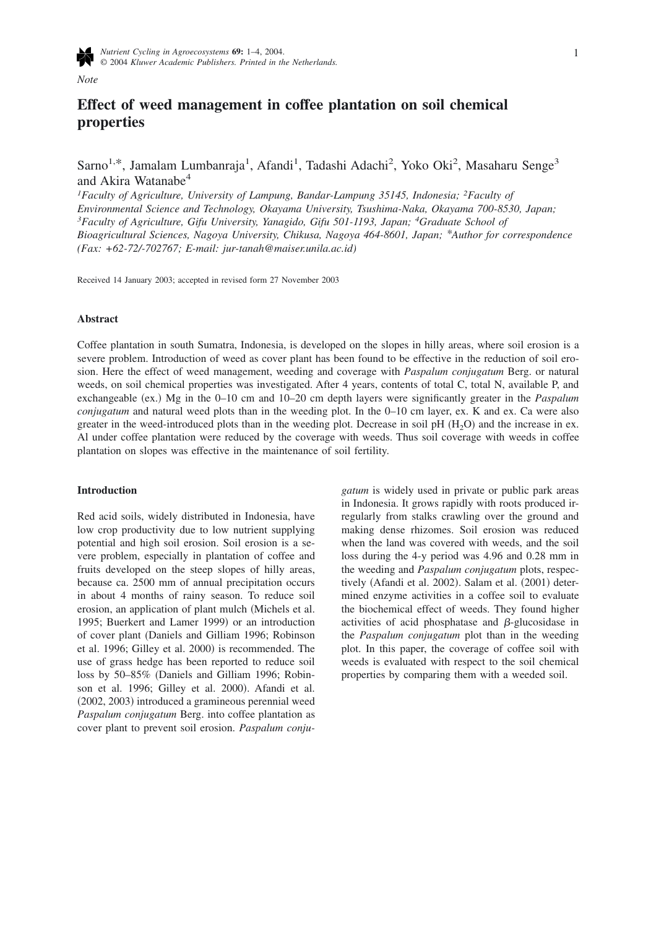

*Note*

# **Effect of weed management in coffee plantation on soil chemical properties**

Sarno<sup>1,\*</sup>, Jamalam Lumbanraja<sup>1</sup>, Afandi<sup>1</sup>, Tadashi Adachi<sup>2</sup>, Yoko Oki<sup>2</sup>, Masaharu Senge<sup>3</sup> and Akira Watanabe<sup>4</sup>

*1 Faculty of Agriculture, University of Lampung, Bandar-Lampung 35145, Indonesia; 2Faculty of Environmental Science and Technology, Okayama University, Tsushima-Naka, Okayama 700-8530, Japan; 3 Faculty of Agriculture, Gifu University, Yanagido, Gifu 501-1193, Japan; <sup>4</sup> Graduate School of Bioagricultural Sciences, Nagoya University, Chikusa, Nagoya 464-8601, Japan; \*Author for correspondence (Fax: +62-72/-702767; E-mail: jur-tanah@maiser.unila.ac.id)*

Received 14 January 2003; accepted in revised form 27 November 2003

# **Abstract**

Coffee plantation in south Sumatra, Indonesia, is developed on the slopes in hilly areas, where soil erosion is a severe problem. Introduction of weed as cover plant has been found to be effective in the reduction of soil erosion. Here the effect of weed management, weeding and coverage with *Paspalum conjugatum* Berg. or natural weeds, on soil chemical properties was investigated. After 4 years, contents of total C, total N, available P, and exchangeable (ex.) Mg in the 0–10 cm and 10–20 cm depth layers were significantly greater in the *Paspalum conjugatum* and natural weed plots than in the weeding plot. In the 0–10 cm layer, ex. K and ex. Ca were also greater in the weed-introduced plots than in the weeding plot. Decrease in soil pH  $(H_2O)$  and the increase in ex. Al under coffee plantation were reduced by the coverage with weeds. Thus soil coverage with weeds in coffee plantation on slopes was effective in the maintenance of soil fertility.

# **Introduction**

Red acid soils, widely distributed in Indonesia, have low crop productivity due to low nutrient supplying potential and high soil erosion. Soil erosion is a severe problem, especially in plantation of coffee and fruits developed on the steep slopes of hilly areas, because ca. 2500 mm of annual precipitation occurs in about 4 months of rainy season. To reduce soil erosion, an application of plant mulch Michels et al. 1995; Buerkert and Lamer 1999) or an introduction of cover plant Daniels and Gilliam 1996; Robinson et al. 1996; Gilley et al. 2000) is recommended. The use of grass hedge has been reported to reduce soil loss by 50–85% (Daniels and Gilliam 1996; Robinson et al. 1996; Gilley et al. 2000). Afandi et al. (2002, 2003) introduced a gramineous perennial weed *Paspalum conjugatum* Berg. into coffee plantation as cover plant to prevent soil erosion. *Paspalum conju-* *gatum* is widely used in private or public park areas in Indonesia. It grows rapidly with roots produced irregularly from stalks crawling over the ground and making dense rhizomes. Soil erosion was reduced when the land was covered with weeds, and the soil loss during the 4-y period was 4.96 and 0.28 mm in the weeding and *Paspalum conjugatum* plots, respectively (Afandi et al. 2002). Salam et al. (2001) determined enzyme activities in a coffee soil to evaluate the biochemical effect of weeds. They found higher activities of acid phosphatase and  $\beta$ -glucosidase in the *Paspalum conjugatum* plot than in the weeding plot. In this paper, the coverage of coffee soil with weeds is evaluated with respect to the soil chemical properties by comparing them with a weeded soil.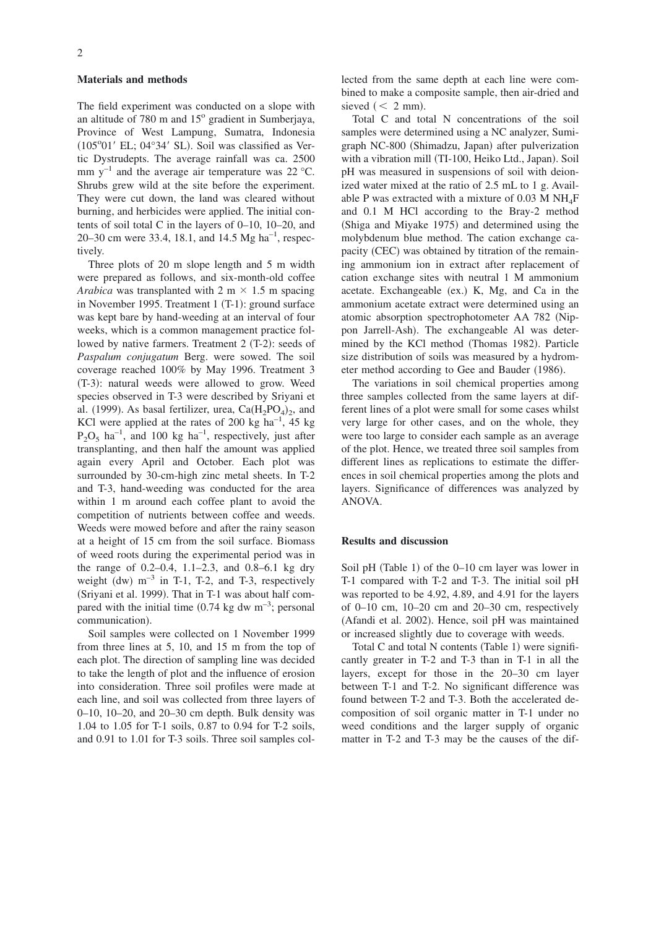### **Materials and methods**

The field experiment was conducted on a slope with an altitude of 780 m and  $15^{\circ}$  gradient in Sumberjaya, Province of West Lampung, Sumatra, Indonesia (105°01' EL; 04°34' SL). Soil was classified as Vertic Dystrudepts. The average rainfall was ca. 2500 mm  $y^{-1}$  and the average air temperature was 22 °C. Shrubs grew wild at the site before the experiment. They were cut down, the land was cleared without burning, and herbicides were applied. The initial contents of soil total C in the layers of 0–10, 10–20, and 20–30 cm were 33.4, 18.1, and 14.5 Mg ha<sup>-1</sup>, respectively.

Three plots of 20 m slope length and 5 m width were prepared as follows, and six-month-old coffee *Arabica* was transplanted with 2 m  $\times$  1.5 m spacing in November 1995. Treatment 1 (T-1): ground surface was kept bare by hand-weeding at an interval of four weeks, which is a common management practice followed by native farmers. Treatment 2 (T-2): seeds of *Paspalum conjugatum* Berg. were sowed. The soil coverage reached 100% by May 1996. Treatment 3 (T-3): natural weeds were allowed to grow. Weed species observed in T-3 were described by Sriyani et al. (1999). As basal fertilizer, urea,  $Ca(H_2PO_4)_2$ , and KCl were applied at the rates of 200 kg  $ha^{-1}$ , 45 kg  $P_2O_5$  ha<sup>-1</sup>, and 100 kg ha<sup>-1</sup>, respectively, just after transplanting, and then half the amount was applied again every April and October. Each plot was surrounded by 30-cm-high zinc metal sheets. In T-2 and T-3, hand-weeding was conducted for the area within 1 m around each coffee plant to avoid the competition of nutrients between coffee and weeds. Weeds were mowed before and after the rainy season at a height of 15 cm from the soil surface. Biomass of weed roots during the experimental period was in the range of 0.2–0.4, 1.1–2.3, and 0.8–6.1 kg dry weight  $(dw)$  m<sup>-3</sup> in T-1, T-2, and T-3, respectively (Sriyani et al. 1999). That in T-1 was about half compared with the initial time  $(0.74 \text{ kg} \text{ dw m}^{-3})$ ; personal communication).

Soil samples were collected on 1 November 1999 from three lines at 5, 10, and 15 m from the top of each plot. The direction of sampling line was decided to take the length of plot and the influence of erosion into consideration. Three soil profiles were made at each line, and soil was collected from three layers of 0–10, 10–20, and 20–30 cm depth. Bulk density was 1.04 to 1.05 for T-1 soils, 0.87 to 0.94 for T-2 soils, and 0.91 to 1.01 for T-3 soils. Three soil samples collected from the same depth at each line were combined to make a composite sample, then air-dried and sieved  $(< 2$  mm).

Total C and total N concentrations of the soil samples were determined using a NC analyzer, Sumigraph NC-800 (Shimadzu, Japan) after pulverization with a vibration mill (TI-100, Heiko Ltd., Japan). Soil pH was measured in suspensions of soil with deionized water mixed at the ratio of 2.5 mL to 1 g. Available P was extracted with a mixture of  $0.03$  M NH<sub>4</sub>F and 0.1 M HCl according to the Bray-2 method (Shiga and Miyake 1975) and determined using the molybdenum blue method. The cation exchange capacity (CEC) was obtained by titration of the remaining ammonium ion in extract after replacement of cation exchange sites with neutral 1 M ammonium acetate. Exchangeable (ex.) K, Mg, and Ca in the ammonium acetate extract were determined using an atomic absorption spectrophotometer AA 782 (Nippon Jarrell-Ash). The exchangeable Al was determined by the KCl method (Thomas 1982). Particle size distribution of soils was measured by a hydrometer method according to Gee and Bauder (1986).

The variations in soil chemical properties among three samples collected from the same layers at different lines of a plot were small for some cases whilst very large for other cases, and on the whole, they were too large to consider each sample as an average of the plot. Hence, we treated three soil samples from different lines as replications to estimate the differences in soil chemical properties among the plots and layers. Significance of differences was analyzed by ANOVA.

# **Results and discussion**

Soil pH (Table 1) of the 0–10 cm layer was lower in T-1 compared with T-2 and T-3. The initial soil pH was reported to be 4.92, 4.89, and 4.91 for the layers of 0–10 cm, 10–20 cm and 20–30 cm, respectively (Afandi et al. 2002). Hence, soil pH was maintained or increased slightly due to coverage with weeds.

Total C and total N contents (Table 1) were significantly greater in T-2 and T-3 than in T-1 in all the layers, except for those in the 20–30 cm layer between T-1 and T-2. No significant difference was found between T-2 and T-3. Both the accelerated decomposition of soil organic matter in T-1 under no weed conditions and the larger supply of organic matter in T-2 and T-3 may be the causes of the dif-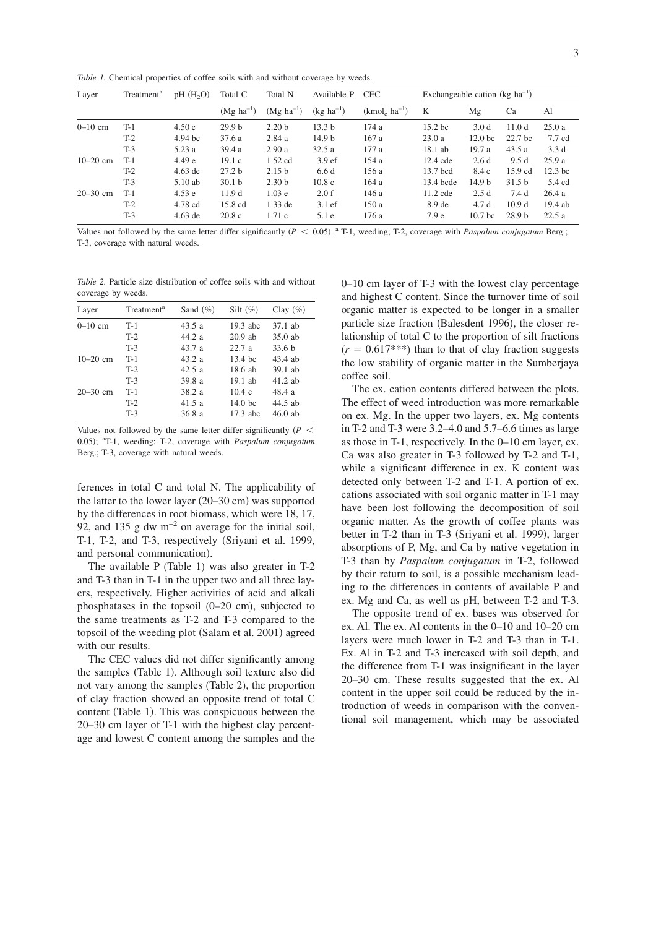*Table 1.* Chemical properties of coffee soils with and without coverage by weeds.

| Layer        | Treatment <sup>a</sup> | pH(H, O)  | Total C                | Total N                | Available P       | <b>CEC</b>        | Exchangeable cation ( $kg \text{ ha}^{-1}$ ) |                    |                    |                    |
|--------------|------------------------|-----------|------------------------|------------------------|-------------------|-------------------|----------------------------------------------|--------------------|--------------------|--------------------|
|              |                        |           | $(Mg \text{ ha}^{-1})$ | $(Mg \text{ ha}^{-1})$ | $(kg ha^{-1})$    | $(kmol, ha^{-1})$ | K                                            | Mg                 | Ca                 | Al                 |
| $0 - 10$ cm  | $T-1$                  | 4.50e     | 29.9 <sub>b</sub>      | 2.20 <sub>b</sub>      | 13.3 <sub>b</sub> | 174a              | $15.2$ bc                                    | 3.0 <sub>d</sub>   | 11.0d              | 25.0a              |
|              | $T-2$                  | 4.94 bc   | 37.6 a                 | 2.84a                  | 14.9 <sub>b</sub> | 167a              | 23.0a                                        | 12.0 <sub>bc</sub> | 22.7 <sub>bc</sub> | 7.7 cd             |
|              | $T-3$                  | 5.23a     | 39.4a                  | 2.90a                  | 32.5a             | 177a              | $18.1$ ab                                    | 19.7 a             | 43.5a              | 3.3d               |
| $10-20$ cm   | $T-1$                  | 4.49e     | 19.1c                  | $1.52$ cd              | 3.9 <sub>ef</sub> | 154a              | 12.4 cde                                     | 2.6d               | 9.5d               | 25.9a              |
|              | $T-2$                  | $4.63$ de | 27.2 <sub>b</sub>      | 2.15 <sub>b</sub>      | 6.6d              | 156 a             | 13.7 bcd                                     | 8.4 c              | $15.9 \text{ cd}$  | 12.3 <sub>bc</sub> |
|              | $T-3$                  | 5.10ab    | 30.1 <sub>b</sub>      | 2.30 <sub>b</sub>      | 10.8c             | 164a              | 13.4 bcde                                    | 14.9 b             | 31.5 <sub>b</sub>  | 5.4 cd             |
| $20 - 30$ cm | $T-1$                  | 4.53e     | 11.9d                  | 1.03 <sub>e</sub>      | 2.0 f             | 146 a             | $11.2$ cde                                   | 2.5d               | 7.4d               | 26.4a              |
|              | $T-2$                  | 4.78 cd   | 15.8 cd                | $1.33$ de              | $3.1 \text{ ef}$  | 150a              | 8.9 de                                       | 4.7d               | 10.9 <sub>d</sub>  | 19.4 ab            |
|              | $T-3$                  | $4.63$ de | 20.8c                  | 1.71c                  | 5.1e              | 176 a             | 7.9 <sub>e</sub>                             | 10.7 <sub>bc</sub> | 28.9 <sub>b</sub>  | 22.5a              |

Values not followed by the same letter differ significantly  $(P < 0.05)$ . <sup>a</sup> T-1, weeding; T-2, coverage with *Paspalum conjugatum* Berg.; T-3, coverage with natural weeds.

*Table 2.* Particle size distribution of coffee soils with and without coverage by weeds.

| Layer        | Treatment <sup>a</sup> | Sand $(\% )$ | Silt $(\%)$        | Clay $(\% )$      |
|--------------|------------------------|--------------|--------------------|-------------------|
| $0 - 10$ cm  | $T-1$                  | 43.5a        | 19.3 abc           | $37.1$ ab         |
|              | $T-2$                  | 44.2a        | $20.9$ ab          | $35.0$ ab         |
|              | $T-3$                  | 43.7a        | 22.7a              | 33.6 <sub>b</sub> |
| $10-20$ cm   | $T-1$                  | 43.2a        | $13.4$ bc          | $43.4$ ab         |
|              | $T-2$                  | 42.5a        | $18.6$ ab          | $39.1$ ab         |
|              | $T-3$                  | 39.8a        | $19.1$ ab          | $41.2$ ab         |
| $20 - 30$ cm | $T-1$                  | 38.2a        | 10.4c              | 48.4a             |
|              | $T-2$                  | 41.5a        | 14.0 <sub>bc</sub> | $44.5$ ab         |
|              | $T-3$                  | 36.8a        | $17.3$ abc         | $46.0$ ab         |

Values not followed by the same letter differ significantly  $(P \leq$ 0.05); <sup>a</sup>T-1, weeding; T-2, coverage with *Paspalum conjugatum* Berg.; T-3, coverage with natural weeds.

ferences in total C and total N. The applicability of the latter to the lower layer (20–30 cm) was supported by the differences in root biomass, which were 18, 17, 92, and 135 g dw  $m^{-2}$  on average for the initial soil, T-1, T-2, and T-3, respectively (Sriyani et al. 1999, and personal communication).

The available  $P$  (Table 1) was also greater in T-2 and T-3 than in T-1 in the upper two and all three layers, respectively. Higher activities of acid and alkali phosphatases in the topsoil (0-20 cm), subjected to the same treatments as T-2 and T-3 compared to the topsoil of the weeding plot (Salam et al. 2001) agreed with our results.

The CEC values did not differ significantly among the samples (Table 1). Although soil texture also did not vary among the samples (Table 2), the proportion of clay fraction showed an opposite trend of total C content (Table 1). This was conspicuous between the 20–30 cm layer of T-1 with the highest clay percentage and lowest C content among the samples and the

0–10 cm layer of T-3 with the lowest clay percentage and highest C content. Since the turnover time of soil organic matter is expected to be longer in a smaller particle size fraction (Balesdent 1996), the closer relationship of total C to the proportion of silt fractions  $(r = 0.617***)$  than to that of clay fraction suggests the low stability of organic matter in the Sumberjaya coffee soil.

The ex. cation contents differed between the plots. The effect of weed introduction was more remarkable on ex. Mg. In the upper two layers, ex. Mg contents in T-2 and T-3 were 3.2–4.0 and 5.7–6.6 times as large as those in T-1, respectively. In the 0–10 cm layer, ex. Ca was also greater in T-3 followed by T-2 and T-1, while a significant difference in ex. K content was detected only between T-2 and T-1. A portion of ex. cations associated with soil organic matter in T-1 may have been lost following the decomposition of soil organic matter. As the growth of coffee plants was better in T-2 than in T-3 (Sriyani et al. 1999), larger absorptions of P, Mg, and Ca by native vegetation in T-3 than by *Paspalum conjugatum* in T-2, followed by their return to soil, is a possible mechanism leading to the differences in contents of available P and ex. Mg and Ca, as well as pH, between T-2 and T-3.

The opposite trend of ex. bases was observed for ex. Al. The ex. Al contents in the 0–10 and 10–20 cm layers were much lower in T-2 and T-3 than in T-1. Ex. Al in T-2 and T-3 increased with soil depth, and the difference from T-1 was insignificant in the layer 20–30 cm. These results suggested that the ex. Al content in the upper soil could be reduced by the introduction of weeds in comparison with the conventional soil management, which may be associated